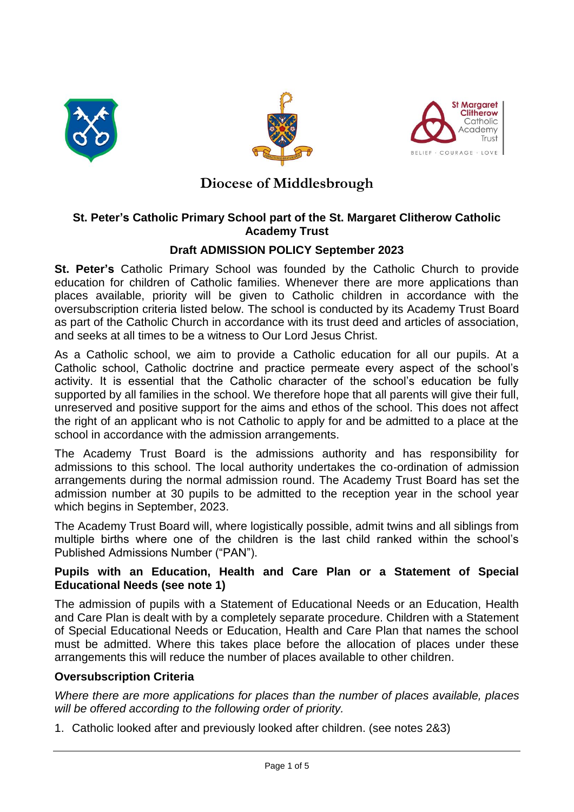





# **Diocese of Middlesbrough**

# **St. Peter's Catholic Primary School part of the St. Margaret Clitherow Catholic Academy Trust**

# **Draft ADMISSION POLICY September 2023**

**St. Peter's** Catholic Primary School was founded by the Catholic Church to provide education for children of Catholic families. Whenever there are more applications than places available, priority will be given to Catholic children in accordance with the oversubscription criteria listed below. The school is conducted by its Academy Trust Board as part of the Catholic Church in accordance with its trust deed and articles of association, and seeks at all times to be a witness to Our Lord Jesus Christ.

As a Catholic school, we aim to provide a Catholic education for all our pupils. At a Catholic school, Catholic doctrine and practice permeate every aspect of the school's activity. It is essential that the Catholic character of the school's education be fully supported by all families in the school. We therefore hope that all parents will give their full, unreserved and positive support for the aims and ethos of the school. This does not affect the right of an applicant who is not Catholic to apply for and be admitted to a place at the school in accordance with the admission arrangements.

The Academy Trust Board is the admissions authority and has responsibility for admissions to this school. The local authority undertakes the co-ordination of admission arrangements during the normal admission round. The Academy Trust Board has set the admission number at 30 pupils to be admitted to the reception year in the school year which begins in September, 2023.

The Academy Trust Board will, where logistically possible, admit twins and all siblings from multiple births where one of the children is the last child ranked within the school's Published Admissions Number ("PAN").

### **Pupils with an Education, Health and Care Plan or a Statement of Special Educational Needs (see note 1)**

The admission of pupils with a Statement of Educational Needs or an Education, Health and Care Plan is dealt with by a completely separate procedure. Children with a Statement of Special Educational Needs or Education, Health and Care Plan that names the school must be admitted. Where this takes place before the allocation of places under these arrangements this will reduce the number of places available to other children.

# **Oversubscription Criteria**

*Where there are more applications for places than the number of places available, places will be offered according to the following order of priority.*

1. Catholic looked after and previously looked after children. (see notes 2&3)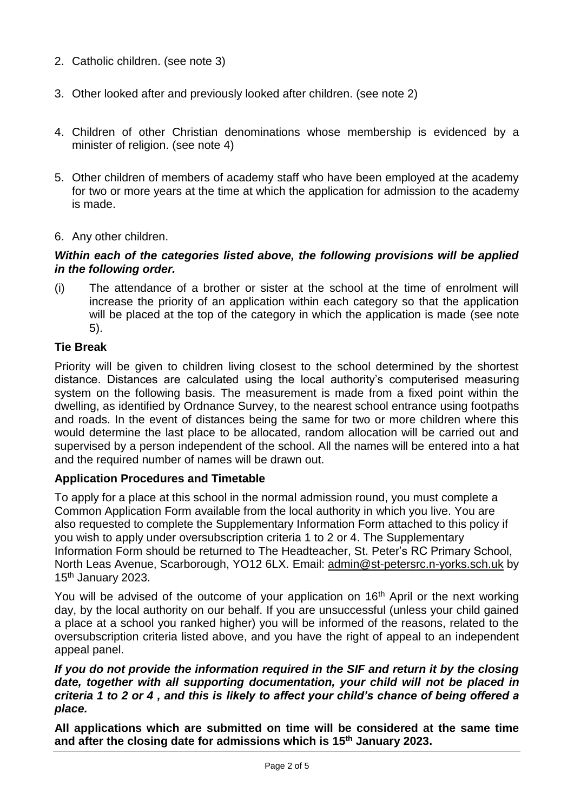- 2. Catholic children. (see note 3)
- 3. Other looked after and previously looked after children. (see note 2)
- 4. Children of other Christian denominations whose membership is evidenced by a minister of religion. (see note 4)
- 5. Other children of members of academy staff who have been employed at the academy for two or more years at the time at which the application for admission to the academy is made.
- 6. Any other children.

### *Within each of the categories listed above, the following provisions will be applied in the following order.*

(i) The attendance of a brother or sister at the school at the time of enrolment will increase the priority of an application within each category so that the application will be placed at the top of the category in which the application is made (see note 5).

# **Tie Break**

Priority will be given to children living closest to the school determined by the shortest distance. Distances are calculated using the local authority's computerised measuring system on the following basis. The measurement is made from a fixed point within the dwelling, as identified by Ordnance Survey, to the nearest school entrance using footpaths and roads. In the event of distances being the same for two or more children where this would determine the last place to be allocated, random allocation will be carried out and supervised by a person independent of the school. All the names will be entered into a hat and the required number of names will be drawn out.

# **Application Procedures and Timetable**

To apply for a place at this school in the normal admission round, you must complete a Common Application Form available from the local authority in which you live. You are also requested to complete the Supplementary Information Form attached to this policy if you wish to apply under oversubscription criteria 1 to 2 or 4. The Supplementary Information Form should be returned to The Headteacher, St. Peter's RC Primary School, North Leas Avenue, Scarborough, YO12 6LX. Email: [admin@st-petersrc.n-yorks.sch.uk](mailto:admin@st-petersrc.n-yorks.sch.uk) by 15<sup>th</sup> January 2023.

You will be advised of the outcome of your application on  $16<sup>th</sup>$  April or the next working day, by the local authority on our behalf. If you are unsuccessful (unless your child gained a place at a school you ranked higher) you will be informed of the reasons, related to the oversubscription criteria listed above, and you have the right of appeal to an independent appeal panel.

#### *If you do not provide the information required in the SIF and return it by the closing date, together with all supporting documentation, your child will not be placed in criteria 1 to 2 or 4 , and this is likely to affect your child's chance of being offered a place.*

**All applications which are submitted on time will be considered at the same time and after the closing date for admissions which is 15th January 2023.**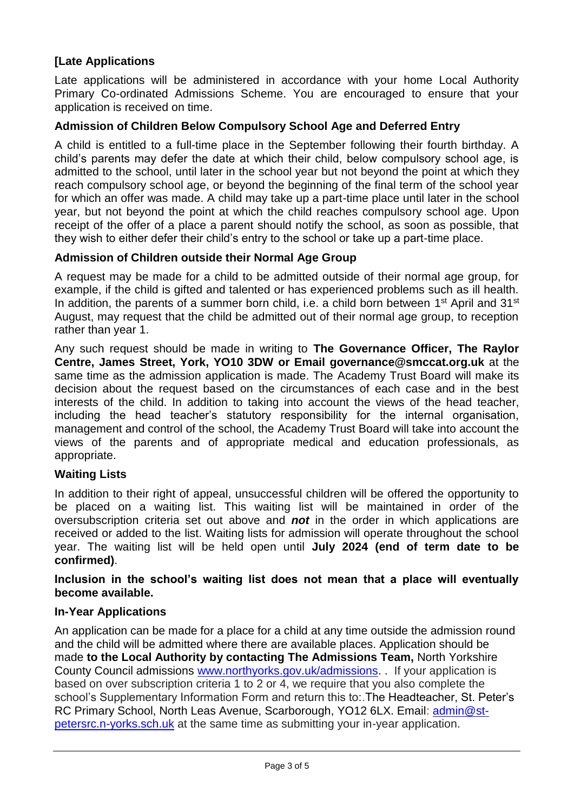# **[Late Applications**

Late applications will be administered in accordance with your home Local Authority Primary Co-ordinated Admissions Scheme. You are encouraged to ensure that your application is received on time.

### **Admission of Children Below Compulsory School Age and Deferred Entry**

A child is entitled to a full-time place in the September following their fourth birthday. A child's parents may defer the date at which their child, below compulsory school age, is admitted to the school, until later in the school year but not beyond the point at which they reach compulsory school age, or beyond the beginning of the final term of the school year for which an offer was made. A child may take up a part-time place until later in the school year, but not beyond the point at which the child reaches compulsory school age. Upon receipt of the offer of a place a parent should notify the school, as soon as possible, that they wish to either defer their child's entry to the school or take up a part-time place.

### **Admission of Children outside their Normal Age Group**

A request may be made for a child to be admitted outside of their normal age group, for example, if the child is gifted and talented or has experienced problems such as ill health. In addition, the parents of a summer born child, i.e. a child born between 1<sup>st</sup> April and 31<sup>st</sup> August, may request that the child be admitted out of their normal age group, to reception rather than year 1.

Any such request should be made in writing to **The Governance Officer, The Raylor Centre, James Street, York, YO10 3DW or Email governance@smccat.org.uk** at the same time as the admission application is made. The Academy Trust Board will make its decision about the request based on the circumstances of each case and in the best interests of the child. In addition to taking into account the views of the head teacher, including the head teacher's statutory responsibility for the internal organisation, management and control of the school, the Academy Trust Board will take into account the views of the parents and of appropriate medical and education professionals, as appropriate.

### **Waiting Lists**

In addition to their right of appeal, unsuccessful children will be offered the opportunity to be placed on a waiting list. This waiting list will be maintained in order of the oversubscription criteria set out above and *not* in the order in which applications are received or added to the list. Waiting lists for admission will operate throughout the school year. The waiting list will be held open until **July 2024 (end of term date to be confirmed)**.

**Inclusion in the school's waiting list does not mean that a place will eventually become available.**

### **In-Year Applications**

An application can be made for a place for a child at any time outside the admission round and the child will be admitted where there are available places. Application should be made **to the Local Authority by contacting The Admissions Team,** North Yorkshire County Council admissions [www.northyorks.gov.uk/admissions.](http://www.northyorks.gov.uk/admissions) . If your application is based on over subscription criteria 1 to 2 or 4, we require that you also complete the school's Supplementary Information Form and return this to:.The Headteacher, St. Peter's RC Primary School, North Leas Avenue, Scarborough, YO12 6LX. Email: [admin@st](mailto:admin@st-petersrc.n-yorks.sch.uk)[petersrc.n-yorks.sch.uk](mailto:admin@st-petersrc.n-yorks.sch.uk) at the same time as submitting your in-year application.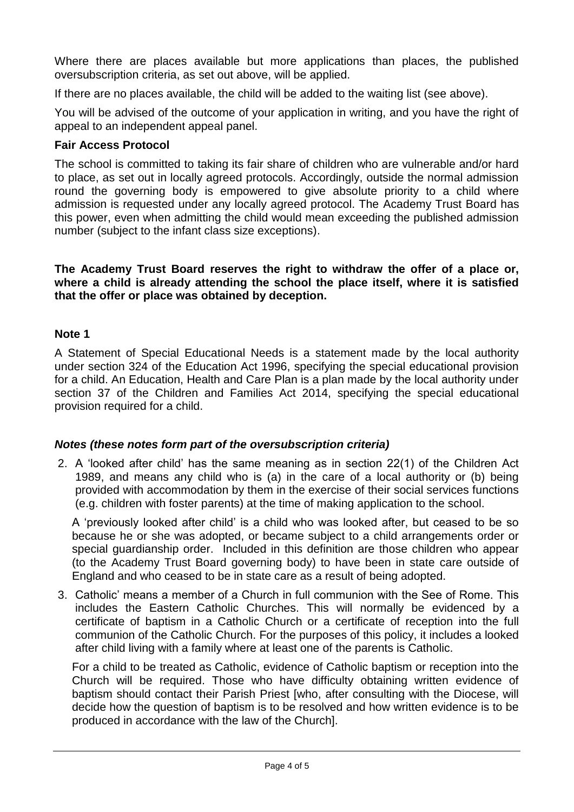Where there are places available but more applications than places, the published oversubscription criteria, as set out above, will be applied.

If there are no places available, the child will be added to the waiting list (see above).

You will be advised of the outcome of your application in writing, and you have the right of appeal to an independent appeal panel.

### **Fair Access Protocol**

The school is committed to taking its fair share of children who are vulnerable and/or hard to place, as set out in locally agreed protocols. Accordingly, outside the normal admission round the governing body is empowered to give absolute priority to a child where admission is requested under any locally agreed protocol. The Academy Trust Board has this power, even when admitting the child would mean exceeding the published admission number (subject to the infant class size exceptions).

**The Academy Trust Board reserves the right to withdraw the offer of a place or, where a child is already attending the school the place itself, where it is satisfied that the offer or place was obtained by deception.**

### **Note 1**

A Statement of Special Educational Needs is a statement made by the local authority under section 324 of the Education Act 1996, specifying the special educational provision for a child. An Education, Health and Care Plan is a plan made by the local authority under section 37 of the Children and Families Act 2014, specifying the special educational provision required for a child.

# *Notes (these notes form part of the oversubscription criteria)*

2. A 'looked after child' has the same meaning as in section 22(1) of the Children Act 1989, and means any child who is (a) in the care of a local authority or (b) being provided with accommodation by them in the exercise of their social services functions (e.g. children with foster parents) at the time of making application to the school.

A 'previously looked after child' is a child who was looked after, but ceased to be so because he or she was adopted, or became subject to a child arrangements order or special guardianship order. Included in this definition are those children who appear (to the Academy Trust Board governing body) to have been in state care outside of England and who ceased to be in state care as a result of being adopted.

3. Catholic' means a member of a Church in full communion with the See of Rome. This includes the Eastern Catholic Churches. This will normally be evidenced by a certificate of baptism in a Catholic Church or a certificate of reception into the full communion of the Catholic Church. For the purposes of this policy, it includes a looked after child living with a family where at least one of the parents is Catholic.

For a child to be treated as Catholic, evidence of Catholic baptism or reception into the Church will be required. Those who have difficulty obtaining written evidence of baptism should contact their Parish Priest [who, after consulting with the Diocese, will decide how the question of baptism is to be resolved and how written evidence is to be produced in accordance with the law of the Church].